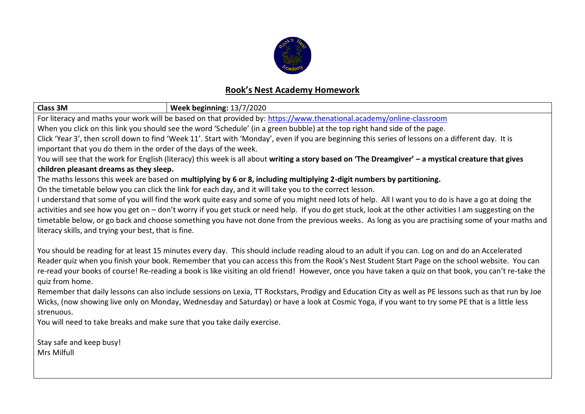

## **Rook's Nest Academy Homework**

| <b>Class 3M</b>                                                                                                                                         | <b>Week beginning: 13/7/2020</b> |  |  |  |  |
|---------------------------------------------------------------------------------------------------------------------------------------------------------|----------------------------------|--|--|--|--|
| For literacy and maths your work will be based on that provided by: https://www.thenational.academy/online-classroom                                    |                                  |  |  |  |  |
| When you click on this link you should see the word 'Schedule' (in a green bubble) at the top right hand side of the page.                              |                                  |  |  |  |  |
| Click 'Year 3', then scroll down to find 'Week 11'. Start with 'Monday', even if you are beginning this series of lessons on a different day. It is     |                                  |  |  |  |  |
| important that you do them in the order of the days of the week.                                                                                        |                                  |  |  |  |  |
| You will see that the work for English (literacy) this week is all about writing a story based on 'The Dreamgiver' - a mystical creature that gives     |                                  |  |  |  |  |
| children pleasant dreams as they sleep.                                                                                                                 |                                  |  |  |  |  |
| The maths lessons this week are based on multiplying by 6 or 8, including multiplying 2-digit numbers by partitioning.                                  |                                  |  |  |  |  |
| On the timetable below you can click the link for each day, and it will take you to the correct lesson.                                                 |                                  |  |  |  |  |
| I understand that some of you will find the work quite easy and some of you might need lots of help. All I want you to do is have a go at doing the     |                                  |  |  |  |  |
| activities and see how you get on - don't worry if you get stuck or need help. If you do get stuck, look at the other activities I am suggesting on the |                                  |  |  |  |  |
| timetable below, or go back and choose something you have not done from the previous weeks. As long as you are practising some of your maths and        |                                  |  |  |  |  |
| literacy skills, and trying your best, that is fine.                                                                                                    |                                  |  |  |  |  |
|                                                                                                                                                         |                                  |  |  |  |  |
| You should be reading for at least 15 minutes every day. This should include reading aloud to an adult if you can. Log on and do an Accelerated         |                                  |  |  |  |  |
| Reader quiz when you finish your book. Remember that you can access this from the Rook's Nest Student Start Page on the school website. You can         |                                  |  |  |  |  |
| re-read your books of course! Re-reading a book is like visiting an old friend! However, once you have taken a quiz on that book, you can't re-take the |                                  |  |  |  |  |
| quiz from home.                                                                                                                                         |                                  |  |  |  |  |
| Remember that daily lessons can also include sessions on Lexia, TT Rockstars, Prodigy and Education City as well as PE lessons such as that run by Joe  |                                  |  |  |  |  |
| Wicks, (now showing live only on Monday, Wednesday and Saturday) or have a look at Cosmic Yoga, if you want to try some PE that is a little less        |                                  |  |  |  |  |
| strenuous.                                                                                                                                              |                                  |  |  |  |  |
| You will need to take breaks and make sure that you take daily exercise.                                                                                |                                  |  |  |  |  |
|                                                                                                                                                         |                                  |  |  |  |  |
| Stay safe and keep busy!                                                                                                                                |                                  |  |  |  |  |
| Mrs Milfull                                                                                                                                             |                                  |  |  |  |  |